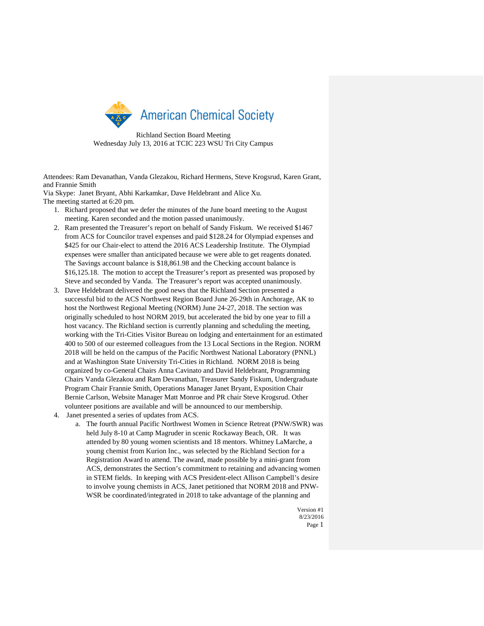

Richland Section Board Meeting Wednesday July 13, 2016 at TCIC 223 WSU Tri City Campus

Attendees: Ram Devanathan, Vanda Glezakou, Richard Hermens, Steve Krogsrud, Karen Grant, and Frannie Smith

Via Skype: Janet Bryant, Abhi Karkamkar, Dave Heldebrant and Alice Xu. The meeting started at 6:20 pm.

- 1. Richard proposed that we defer the minutes of the June board meeting to the August meeting. Karen seconded and the motion passed unanimously.
- 2. Ram presented the Treasurer's report on behalf of Sandy Fiskum. We received \$1467 from ACS for Councilor travel expenses and paid \$128.24 for Olympiad expenses and \$425 for our Chair-elect to attend the 2016 ACS Leadership Institute. The Olympiad expenses were smaller than anticipated because we were able to get reagents donated. The Savings account balance is \$18,861.98 and the Checking account balance is \$16,125.18. The motion to accept the Treasurer's report as presented was proposed by Steve and seconded by Vanda. The Treasurer's report was accepted unanimously.
- 3. Dave Heldebrant delivered the good news that the Richland Section presented a successful bid to the ACS Northwest Region Board June 26-29th in Anchorage, AK to host the Northwest Regional Meeting (NORM) June 24-27, 2018. The section was originally scheduled to host NORM 2019, but accelerated the bid by one year to fill a host vacancy. The Richland section is currently planning and scheduling the meeting, working with the Tri-Cities Visitor Bureau on lodging and entertainment for an estimated 400 to 500 of our esteemed colleagues from the 13 Local Sections in the Region. NORM 2018 will be held on the campus of the Pacific Northwest National Laboratory (PNNL) and at Washington State University Tri-Cities in Richland. NORM 2018 is being organized by co-General Chairs Anna Cavinato and David Heldebrant, Programming Chairs Vanda Glezakou and Ram Devanathan, Treasurer Sandy Fiskum, Undergraduate Program Chair Frannie Smith, Operations Manager Janet Bryant, Exposition Chair Bernie Carlson, Website Manager Matt Monroe and PR chair Steve Krogsrud. Other volunteer positions are available and will be announced to our membership.
- 4. Janet presented a series of updates from ACS.
	- a. The fourth annual Pacific Northwest Women in Science Retreat (PNW/SWR) was held July 8-10 at Camp Magruder in scenic Rockaway Beach, OR. It was attended by 80 young women scientists and 18 mentors. Whitney LaMarche, a young chemist from Kurion Inc., was selected by the Richland Section for a Registration Award to attend. The award, made possible by a mini-grant from ACS, demonstrates the Section's commitment to retaining and advancing women in STEM fields. In keeping with ACS President-elect Allison Campbell's desire to involve young chemists in ACS, Janet petitioned that NORM 2018 and PNW-WSR be coordinated/integrated in 2018 to take advantage of the planning and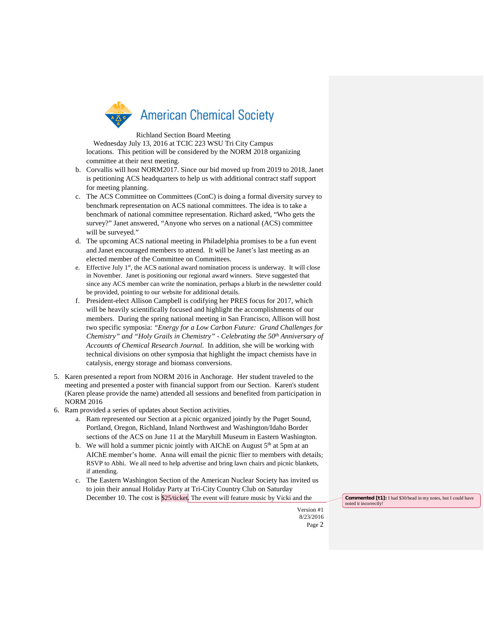

## Richland Section Board Meeting

Wednesday July 13, 2016 at TCIC 223 WSU Tri City Campus locations. This petition will be considered by the NORM 2018 organizing committee at their next meeting.

- b. Corvallis will host NORM2017. Since our bid moved up from 2019 to 2018, Janet is petitioning ACS headquarters to help us with additional contract staff support for meeting planning.
- c. The ACS Committee on Committees (ConC) is doing a formal diversity survey to benchmark representation on ACS national committees. The idea is to take a benchmark of national committee representation. Richard asked, "Who gets the survey?" Janet answered, "Anyone who serves on a national (ACS) committee will be surveyed."
- d. The upcoming ACS national meeting in Philadelphia promises to be a fun event and Janet encouraged members to attend. It will be Janet's last meeting as an elected member of the Committee on Committees.
- e. Effective July  $1<sup>st</sup>$ , the ACS national award nomination process is underway. It will close in November. Janet is positioning our regional award winners. Steve suggested that since any ACS member can write the nomination, perhaps a blurb in the newsletter could be provided, pointing to our website for additional details.
- f. President-elect Allison Campbell is codifying her PRES focus for 2017, which will be heavily scientifically focused and highlight the accomplishments of our members. During the spring national meeting in San Francisco, Allison will host two specific symposia: *"Energy for a Low Carbon Future: Grand Challenges for Chemistry" and "Holy Grails in Chemistry" - Celebrating the 50<sup>th</sup> Anniversary of Accounts of Chemical Research Journal*. In addition, she will be working with technical divisions on other symposia that highlight the impact chemists have in catalysis, energy storage and biomass conversions.
- 5. Karen presented a report from NORM 2016 in Anchorage. Her student traveled to the meeting and presented a poster with financial support from our Section. Karen's student (Karen please provide the name) attended all sessions and benefited from participation in NORM 2016
- 6. Ram provided a series of updates about Section activities.
	- a. Ram represented our Section at a picnic organized jointly by the Puget Sound, Portland, Oregon, Richland, Inland Northwest and Washington/Idaho Border sections of the ACS on June 11 at the Maryhill Museum in Eastern Washington.
	- b. We will hold a summer picnic jointly with AIChE on August  $5<sup>th</sup>$  at 5pm at an AIChE member's home. Anna will email the picnic flier to members with details; RSVP to Abhi. We all need to help advertise and bring lawn chairs and picnic blankets, if attending.
	- c. The Eastern Washington Section of the American Nuclear Society has invited us to join their annual Holiday Party at Tri-City Country Club on Saturday December 10. The cost is \$25/ticket. The event will feature music by Vicki and the **Commented [t1]:** I had \$30/head in my notes, but I could have

noted it incorrectly!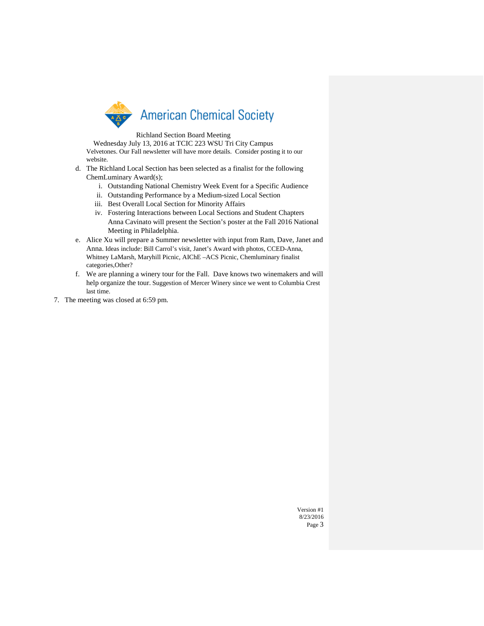

## Richland Section Board Meeting

Wednesday July 13, 2016 at TCIC 223 WSU Tri City Campus Velvetones. Our Fall newsletter will have more details. Consider posting it to our website.

- d. The Richland Local Section has been selected as a finalist for the following ChemLuminary Award(s);
	- i. Outstanding National Chemistry Week Event for a Specific Audience
	- ii. Outstanding Performance by a Medium-sized Local Section
	- iii. Best Overall Local Section for Minority Affairs
	- iv. Fostering Interactions between Local Sections and Student Chapters Anna Cavinato will present the Section's poster at the Fall 2016 National Meeting in Philadelphia.
- e. Alice Xu will prepare a Summer newsletter with input from Ram, Dave, Janet and Anna. Ideas include: Bill Carrol's visit, Janet's Award with photos, CCED-Anna, Whitney LaMarsh, Maryhill Picnic, AIChE –ACS Picnic, Chemluminary finalist categories,Other?
- f. We are planning a winery tour for the Fall. Dave knows two winemakers and will help organize the tour. Suggestion of Mercer Winery since we went to Columbia Crest last time.
- 7. The meeting was closed at 6:59 pm.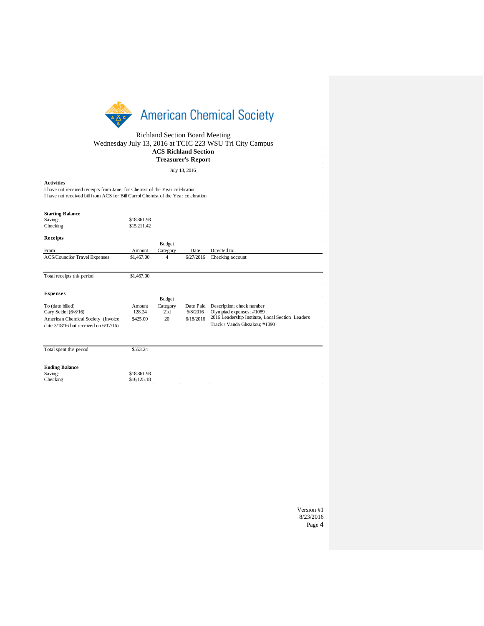

Richland Section Board Meeting Wednesday July 13, 2016 at TCIC 223 WSU Tri City Campus **ACS Richland Section Treasurer's Report**

July 13, 2016

## **Activities**

I have not received receipts from Janet for Chemist of the Year celebration I have not received bill from ACS for Bill Carrol Chemist of the Year celebration

## **Starting Balance**

| <b>Dan ang Danaic</b>                    |             |               |           |                                                  |
|------------------------------------------|-------------|---------------|-----------|--------------------------------------------------|
| Savings                                  | \$18,861.98 |               |           |                                                  |
| Checking                                 | \$15,211.42 |               |           |                                                  |
|                                          |             |               |           |                                                  |
| Receipts                                 |             |               |           |                                                  |
|                                          |             | Budget        |           |                                                  |
| From                                     | Amount      | Category      | Date      | Directed to:                                     |
| <b>ACS/Councilor Travel Expenses</b>     | \$1,467.00  | 4             | 6/27/2016 | Checking account                                 |
|                                          |             |               |           |                                                  |
| Total receipts this period               | \$1,467.00  |               |           |                                                  |
|                                          |             |               |           |                                                  |
| <b>Expenses</b>                          |             |               |           |                                                  |
|                                          |             | <b>Budget</b> |           |                                                  |
| To (date billed)                         | Amount      | Category      | Date Paid | Description; check number                        |
| Cary Seidel $(6/8/16)$                   | 128.24      | 21d           | 6/8/2016  | Olympiad expenses; #1089                         |
| American Chemical Society (Invoice       | \$425.00    | 20            | 6/18/2016 | 2016 Leadership Institute, Local Section Leaders |
| date $3/18/16$ but received on $6/17/16$ |             |               |           | Track / Vanda Glezakou; #1090                    |
|                                          |             |               |           |                                                  |
|                                          |             |               |           |                                                  |
| Total spent this period                  | \$553.24    |               |           |                                                  |
|                                          |             |               |           |                                                  |
| <b>Ending Balance</b>                    |             |               |           |                                                  |
| Savings                                  | \$18,861.98 |               |           |                                                  |
| Checking                                 | \$16,125.18 |               |           |                                                  |